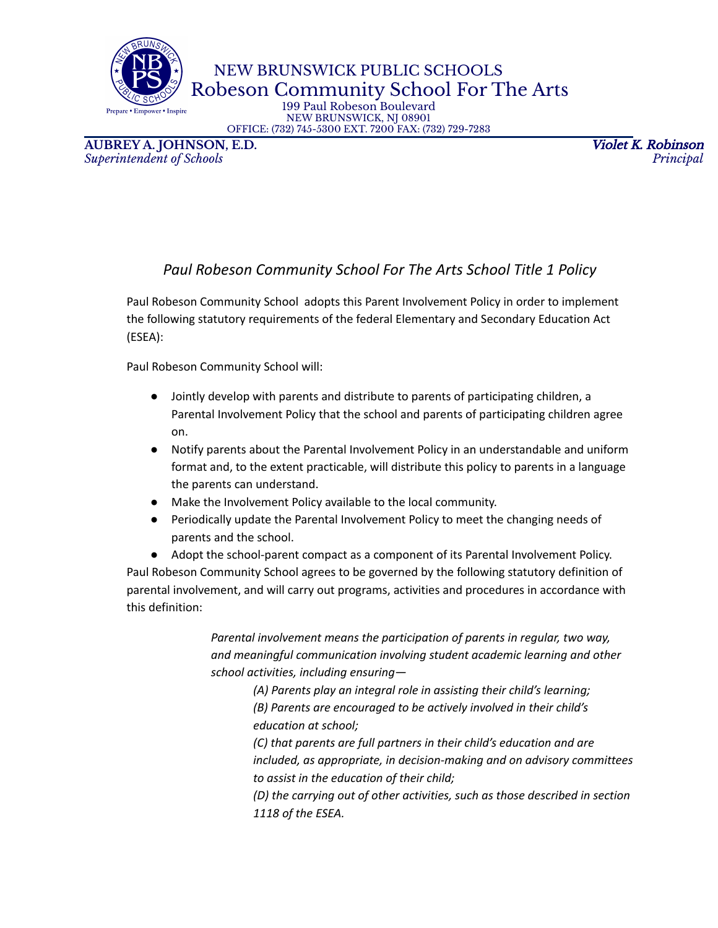NEW BRUNSWICK PUBLIC SCHOOLS Robeson Community School For The Arts

199 Paul Robeson Boulevard NEW BRUNSWICK, NJ 08901 OFFICE: (732) 745-5300 EXT. 7200 FAX: (732) 729-7283

**AUBREY A. JOHNSON, E.D.** Violet K. Robinson *Superintendent of Schools Principal*

are • Em

## *Paul Robeson Community School For The Arts School Title 1 Policy*

Paul Robeson Community School adopts this Parent Involvement Policy in order to implement the following statutory requirements of the federal Elementary and Secondary Education Act (ESEA):

Paul Robeson Community School will:

- Jointly develop with parents and distribute to parents of participating children, a Parental Involvement Policy that the school and parents of participating children agree on.
- Notify parents about the Parental Involvement Policy in an understandable and uniform format and, to the extent practicable, will distribute this policy to parents in a language the parents can understand.
- Make the Involvement Policy available to the local community.
- Periodically update the Parental Involvement Policy to meet the changing needs of parents and the school.
- Adopt the school-parent compact as a component of its Parental Involvement Policy. Paul Robeson Community School agrees to be governed by the following statutory definition of parental involvement, and will carry out programs, activities and procedures in accordance with this definition:

*Parental involvement means the participation of parents in regular, two way, and meaningful communication involving student academic learning and other school activities, including ensuring—*

> *(A) Parents play an integral role in assisting their child's learning; (B) Parents are encouraged to be actively involved in their child's education at school;*

*(C) that parents are full partners in their child's education and are included, as appropriate, in decision-making and on advisory committees to assist in the education of their child;*

*(D) the carrying out of other activities, such as those described in section 1118 of the ESEA.*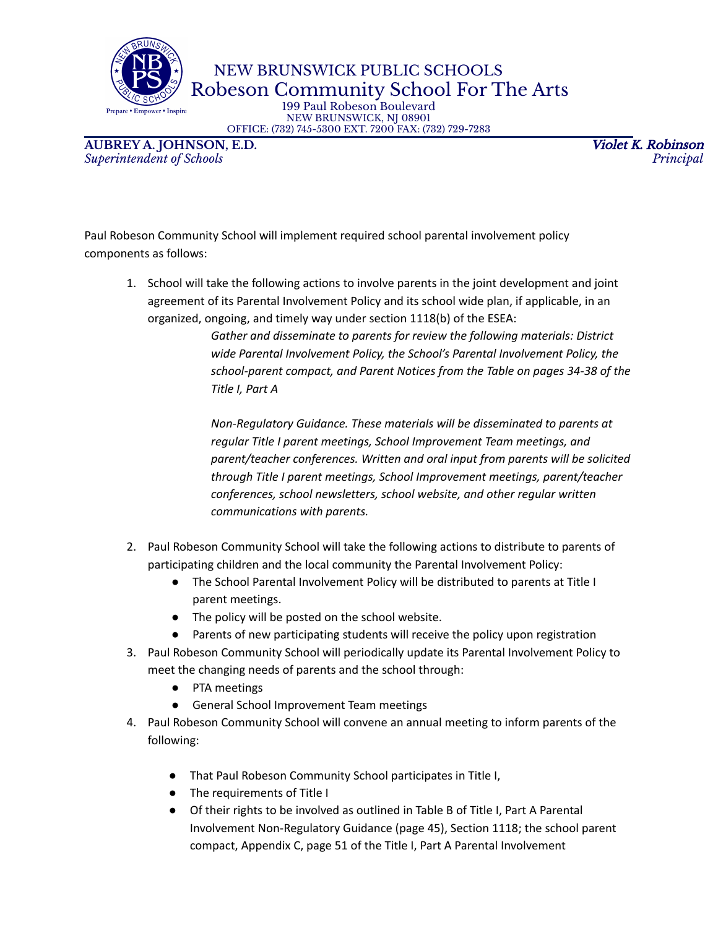are • Emi

NEW BRUNSWICK PUBLIC SCHOOLS Robeson Community School For The Arts

199 Paul Robeson Boulevard NEW BRUNSWICK, NJ 08901 OFFICE: (732) 745-5300 EXT. 7200 FAX: (732) 729-7283

**AUBREY A. JOHNSON, E.D.** Violet K. Robinson *Superintendent of Schools Principal*

Paul Robeson Community School will implement required school parental involvement policy components as follows:

1. School will take the following actions to involve parents in the joint development and joint agreement of its Parental Involvement Policy and its school wide plan, if applicable, in an organized, ongoing, and timely way under section 1118(b) of the ESEA:

> *Gather and disseminate to parents for review the following materials: District wide Parental Involvement Policy, the School's Parental Involvement Policy, the school-parent compact, and Parent Notices from the Table on pages 34-38 of the Title I, Part A*

> *Non-Regulatory Guidance. These materials will be disseminated to parents at regular Title I parent meetings, School Improvement Team meetings, and parent/teacher conferences. Written and oral input from parents will be solicited through Title I parent meetings, School Improvement meetings, parent/teacher conferences, school newsletters, school website, and other regular written communications with parents.*

- 2. Paul Robeson Community School will take the following actions to distribute to parents of participating children and the local community the Parental Involvement Policy:
	- The School Parental Involvement Policy will be distributed to parents at Title I parent meetings.
	- The policy will be posted on the school website.
	- Parents of new participating students will receive the policy upon registration
- 3. Paul Robeson Community School will periodically update its Parental Involvement Policy to meet the changing needs of parents and the school through:
	- PTA meetings
	- General School Improvement Team meetings
- 4. Paul Robeson Community School will convene an annual meeting to inform parents of the following:
	- That Paul Robeson Community School participates in Title I,
	- The requirements of Title I
	- Of their rights to be involved as outlined in Table B of Title I, Part A Parental Involvement Non-Regulatory Guidance (page 45), Section 1118; the school parent compact, Appendix C, page 51 of the Title I, Part A Parental Involvement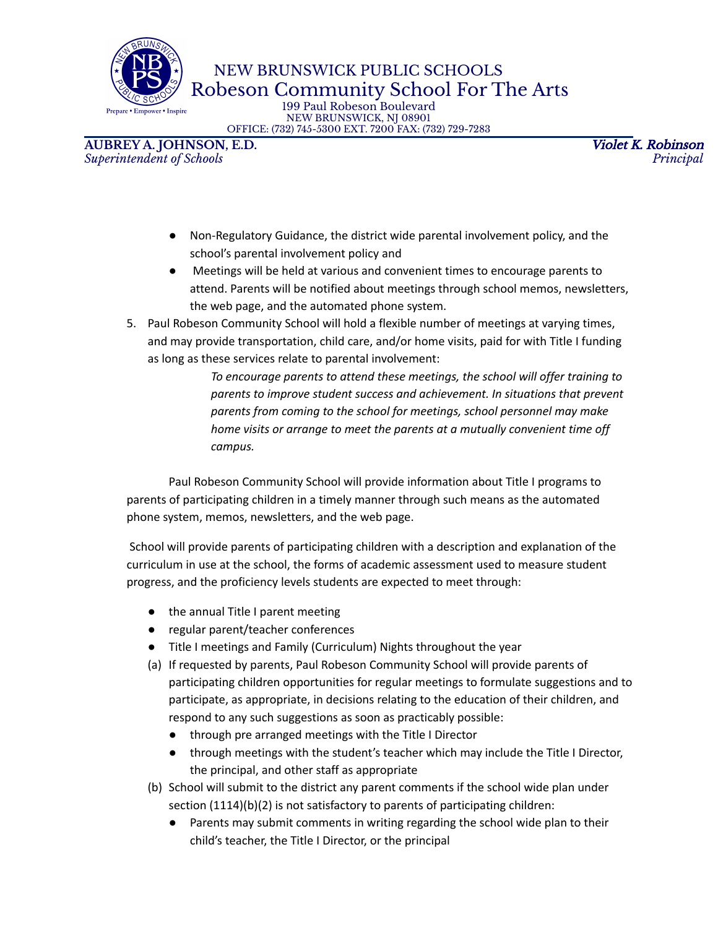NEW BRUNSWICK PUBLIC SCHOOLS Robeson Community School For The Arts

199 Paul Robeson Boulevard NEW BRUNSWICK, NJ 08901 OFFICE: (732) 745-5300 EXT. 7200 FAX: (732) 729-7283

**AUBREY A. JOHNSON, E.D.** Violet K. Robinson *Superintendent of Schools Principal*

wer • Inspire

sare • Emr

- Non-Regulatory Guidance, the district wide parental involvement policy, and the school's parental involvement policy and
- Meetings will be held at various and convenient times to encourage parents to attend. Parents will be notified about meetings through school memos, newsletters, the web page, and the automated phone system.
- 5. Paul Robeson Community School will hold a flexible number of meetings at varying times, and may provide transportation, child care, and/or home visits, paid for with Title I funding as long as these services relate to parental involvement:

*To encourage parents to attend these meetings, the school will offer training to parents to improve student success and achievement. In situations that prevent parents from coming to the school for meetings, school personnel may make home visits or arrange to meet the parents at a mutually convenient time off campus.*

Paul Robeson Community School will provide information about Title I programs to parents of participating children in a timely manner through such means as the automated phone system, memos, newsletters, and the web page.

School will provide parents of participating children with a description and explanation of the curriculum in use at the school, the forms of academic assessment used to measure student progress, and the proficiency levels students are expected to meet through:

- the annual Title I parent meeting
- regular parent/teacher conferences
- Title I meetings and Family (Curriculum) Nights throughout the year
- (a) If requested by parents, Paul Robeson Community School will provide parents of participating children opportunities for regular meetings to formulate suggestions and to participate, as appropriate, in decisions relating to the education of their children, and respond to any such suggestions as soon as practicably possible:
	- through pre arranged meetings with the Title I Director
	- through meetings with the student's teacher which may include the Title I Director, the principal, and other staff as appropriate
- (b) School will submit to the district any parent comments if the school wide plan under section (1114)(b)(2) is not satisfactory to parents of participating children:
	- Parents may submit comments in writing regarding the school wide plan to their child's teacher, the Title I Director, or the principal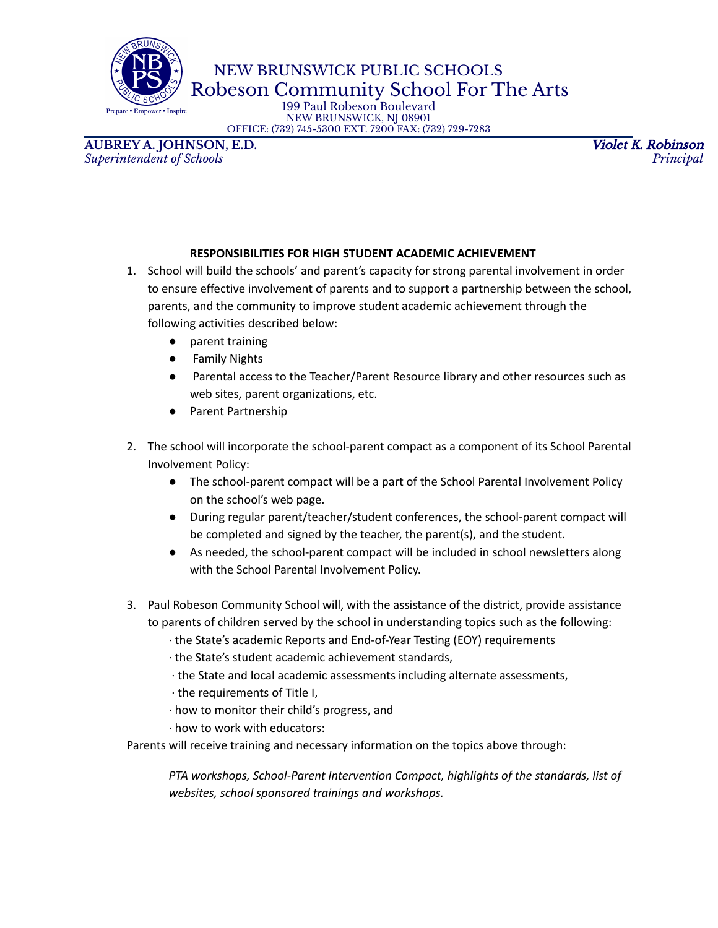are • Emi

NEW BRUNSWICK PUBLIC SCHOOLS  $\mathbb{R}^{\bullet}$  Robeson Community School For The Arts

199 Paul Robeson Boulevard NEW BRUNSWICK, NJ 08901 OFFICE: (732) 745-5300 EXT. 7200 FAX: (732) 729-7283

**AUBREY A. JOHNSON, E.D.** Violet K. Robinson *Superintendent of Schools Principal*

## **RESPONSIBILITIES FOR HIGH STUDENT ACADEMIC ACHIEVEMENT**

- 1. School will build the schools' and parent's capacity for strong parental involvement in order to ensure effective involvement of parents and to support a partnership between the school, parents, and the community to improve student academic achievement through the following activities described below:
	- parent training
	- Family Nights
	- Parental access to the Teacher/Parent Resource library and other resources such as web sites, parent organizations, etc.
	- Parent Partnership
- 2. The school will incorporate the school-parent compact as a component of its School Parental Involvement Policy:
	- The school-parent compact will be a part of the School Parental Involvement Policy on the school's web page.
	- During regular parent/teacher/student conferences, the school-parent compact will be completed and signed by the teacher, the parent(s), and the student.
	- As needed, the school-parent compact will be included in school newsletters along with the School Parental Involvement Policy.
- 3. Paul Robeson Community School will, with the assistance of the district, provide assistance to parents of children served by the school in understanding topics such as the following:
	- ∙ the State's academic Reports and End-of-Year Testing (EOY) requirements
	- ∙ the State's student academic achievement standards,
	- ∙ the State and local academic assessments including alternate assessments,
	- ∙ the requirements of Title I,
	- ∙ how to monitor their child's progress, and
	- ∙ how to work with educators:

Parents will receive training and necessary information on the topics above through:

*PTA workshops, School-Parent Intervention Compact, highlights of the standards, list of websites, school sponsored trainings and workshops.*